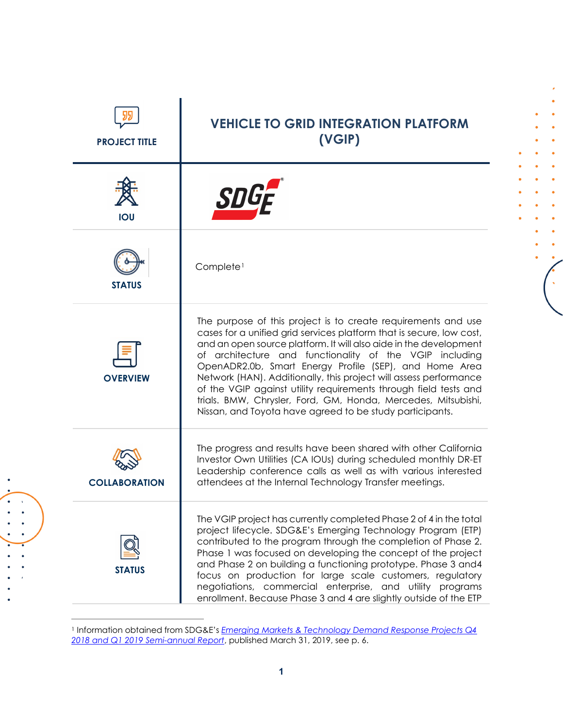| <b>PROJECT TITLE</b> | <b>VEHICLE TO GRID INTEGRATION PLATFORM</b><br>(VGIP)                                                                                                                                                                                                                                                                                                                                                                                                                                                                                                                                                 |
|----------------------|-------------------------------------------------------------------------------------------------------------------------------------------------------------------------------------------------------------------------------------------------------------------------------------------------------------------------------------------------------------------------------------------------------------------------------------------------------------------------------------------------------------------------------------------------------------------------------------------------------|
| <b>IOU</b>           |                                                                                                                                                                                                                                                                                                                                                                                                                                                                                                                                                                                                       |
| <b>STATUS</b>        | Complete <sup>1</sup>                                                                                                                                                                                                                                                                                                                                                                                                                                                                                                                                                                                 |
| <b>OVERVIEW</b>      | The purpose of this project is to create requirements and use<br>cases for a unified grid services platform that is secure, low cost,<br>and an open source platform. It will also aide in the development<br>of architecture and functionality of the VGIP including<br>OpenADR2.0b, Smart Energy Profile (SEP), and Home Area<br>Network (HAN). Additionally, this project will assess performance<br>of the VGIP against utility requirements through field tests and<br>trials. BMW, Chrysler, Ford, GM, Honda, Mercedes, Mitsubishi,<br>Nissan, and Toyota have agreed to be study participants. |
| <b>COLLABORATION</b> | The progress and results have been shared with other California<br>Investor Own Utilities (CA IOUs) during scheduled monthly DR-ET<br>Leadership conference calls as well as with various interested<br>attendees at the Internal Technology Transfer meetings.                                                                                                                                                                                                                                                                                                                                       |
| <b>STATUS</b>        | The VGIP project has currently completed Phase 2 of 4 in the total<br>project lifecycle. SDG&E's Emerging Technology Program (ETP)<br>contributed to the program through the completion of Phase 2.<br>Phase 1 was focused on developing the concept of the project<br>and Phase 2 on building a functioning prototype. Phase 3 and 4<br>focus on production for large scale customers, regulatory<br>negotiations, commercial enterprise, and utility programs<br>enrollment. Because Phase 3 and 4 are slightly outside of the ETP                                                                  |

ä  $\bullet$  $\bullet$  $\bullet$  $\bullet$  $\bullet$  $\bullet$  $\bullet$  $\bullet$  $\bullet$  $\bullet$  $\bullet$ 

<span id="page-0-0"></span><sup>1</sup> Information obtained from SDG&E's *[Emerging Markets & Technology Demand Response Projects Q4](https://www.dret-ca.com/wp-content/uploads/2019/07/SDGE_2018Q4to2019Q1.pdf)  [2018 and Q1 2019](https://www.dret-ca.com/wp-content/uploads/2019/07/SDGE_2018Q4to2019Q1.pdf) Semi-annual Report*, published March 31, 2019, see p. 6.